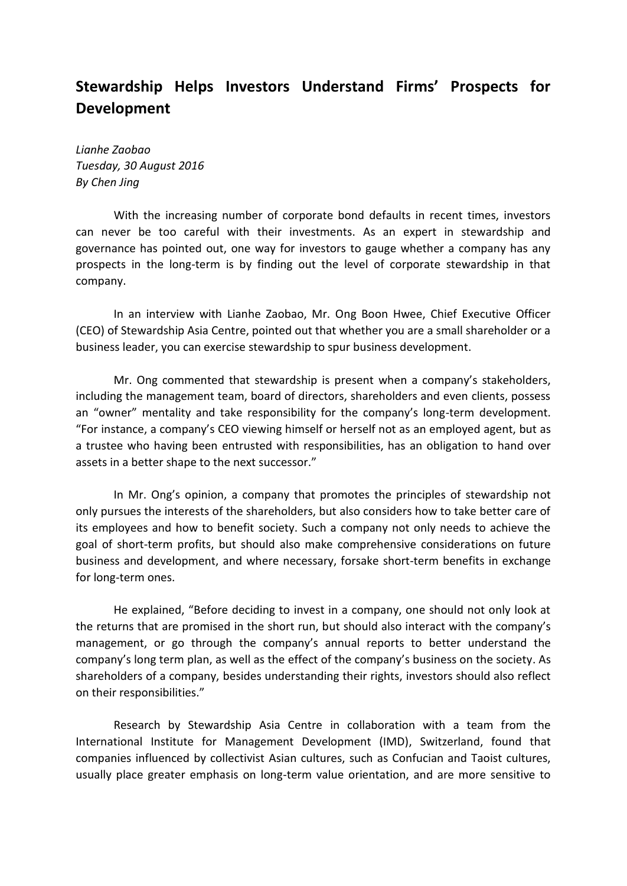## **Stewardship Helps Investors Understand Firms' Prospects for Development**

*Lianhe Zaobao Tuesday, 30 August 2016 By Chen Jing*

With the increasing number of corporate bond defaults in recent times, investors can never be too careful with their investments. As an expert in stewardship and governance has pointed out, one way for investors to gauge whether a company has any prospects in the long-term is by finding out the level of corporate stewardship in that company.

In an interview with Lianhe Zaobao, Mr. Ong Boon Hwee, Chief Executive Officer (CEO) of Stewardship Asia Centre, pointed out that whether you are a small shareholder or a business leader, you can exercise stewardship to spur business development.

Mr. Ong commented that stewardship is present when a company's stakeholders, including the management team, board of directors, shareholders and even clients, possess an "owner" mentality and take responsibility for the company's long-term development. "For instance, a company's CEO viewing himself or herself not as an employed agent, but as a trustee who having been entrusted with responsibilities, has an obligation to hand over assets in a better shape to the next successor."

In Mr. Ong's opinion, a company that promotes the principles of stewardship not only pursues the interests of the shareholders, but also considers how to take better care of its employees and how to benefit society. Such a company not only needs to achieve the goal of short-term profits, but should also make comprehensive considerations on future business and development, and where necessary, forsake short-term benefits in exchange for long-term ones.

He explained, "Before deciding to invest in a company, one should not only look at the returns that are promised in the short run, but should also interact with the company's management, or go through the company's annual reports to better understand the company's long term plan, as well as the effect of the company's business on the society. As shareholders of a company, besides understanding their rights, investors should also reflect on their responsibilities."

Research by Stewardship Asia Centre in collaboration with a team from the International Institute for Management Development (IMD), Switzerland, found that companies influenced by collectivist Asian cultures, such as Confucian and Taoist cultures, usually place greater emphasis on long-term value orientation, and are more sensitive to